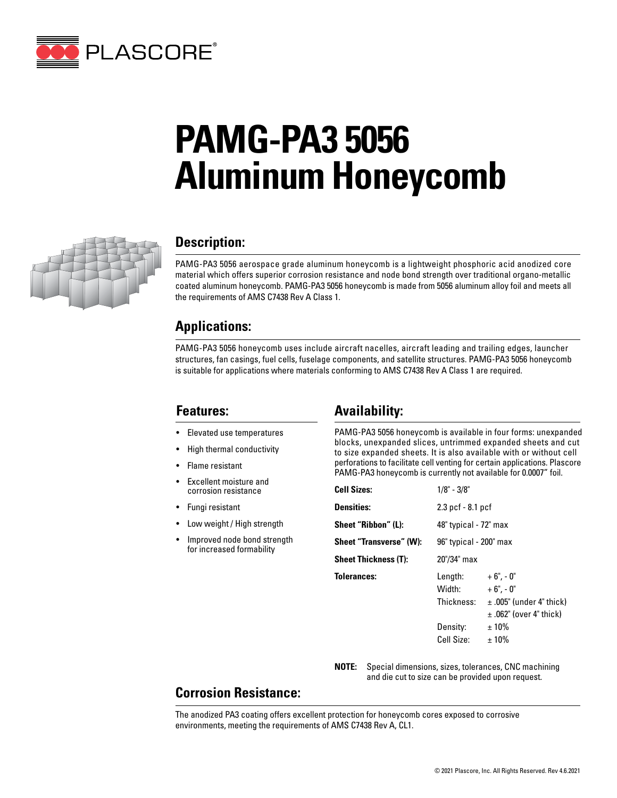

# **PAMG-PA3 5056 Aluminum Honeycomb**



#### **Description:**

PAMG-PA3 5056 aerospace grade aluminum honeycomb is a lightweight phosphoric acid anodized core material which offers superior corrosion resistance and node bond strength over traditional organo-metallic coated aluminum honeycomb. PAMG-PA3 5056 honeycomb is made from 5056 aluminum alloy foil and meets all the requirements of AMS C7438 Rev A Class 1.

#### **Applications:**

PAMG-PA3 5056 honeycomb uses include aircraft nacelles, aircraft leading and trailing edges, launcher structures, fan casings, fuel cells, fuselage components, and satellite structures. PAMG-PA3 5056 honeycomb is suitable for applications where materials conforming to AMS C7438 Rev A Class 1 are required.

#### **Features:**

- Elevated use temperatures
- High thermal conductivity
- Flame resistant
- Excellent moisture and corrosion resistance
- Fungi resistant
- Low weight / High strength
- Improved node bond strength for increased formability

### **Availability:**

PAMG-PA3 5056 honeycomb is available in four forms: unexpanded blocks, unexpanded slices, untrimmed expanded sheets and cut to size expanded sheets. It is also available with or without cell perforations to facilitate cell venting for certain applications. Plascore PAMG-PA3 honeycomb is currently not available for 0.0007" foil.

| <b>Cell Sizes:</b>          | $1/8" - 3/8"$                   |                                                                                          |  |  |
|-----------------------------|---------------------------------|------------------------------------------------------------------------------------------|--|--|
| <b>Densities:</b>           | 2.3 pcf - 8.1 pcf               |                                                                                          |  |  |
| Sheet "Ribbon" (L):         | 48" typical - 72" max           |                                                                                          |  |  |
| Sheet "Transverse" (W):     | 96" typical - 200" max          |                                                                                          |  |  |
| <b>Sheet Thickness (T):</b> | 20"/34" max                     |                                                                                          |  |  |
| <b>Tolerances:</b>          | Length:<br>Width:<br>Thickness: | $+6$ ", - 0"<br>$+6" -0"$<br>$\pm$ .005" (under 4" thick)<br>$\pm$ .062" (over 4" thick) |  |  |
|                             | Density:<br>Cell Size:          | $±10\%$<br>±10%                                                                          |  |  |

**NOTE:** Special dimensions, sizes, tolerances, CNC machining and die cut to size can be provided upon request.

### **Corrosion Resistance:**

The anodized PA3 coating offers excellent protection for honeycomb cores exposed to corrosive environments, meeting the requirements of AMS C7438 Rev A, CL1.